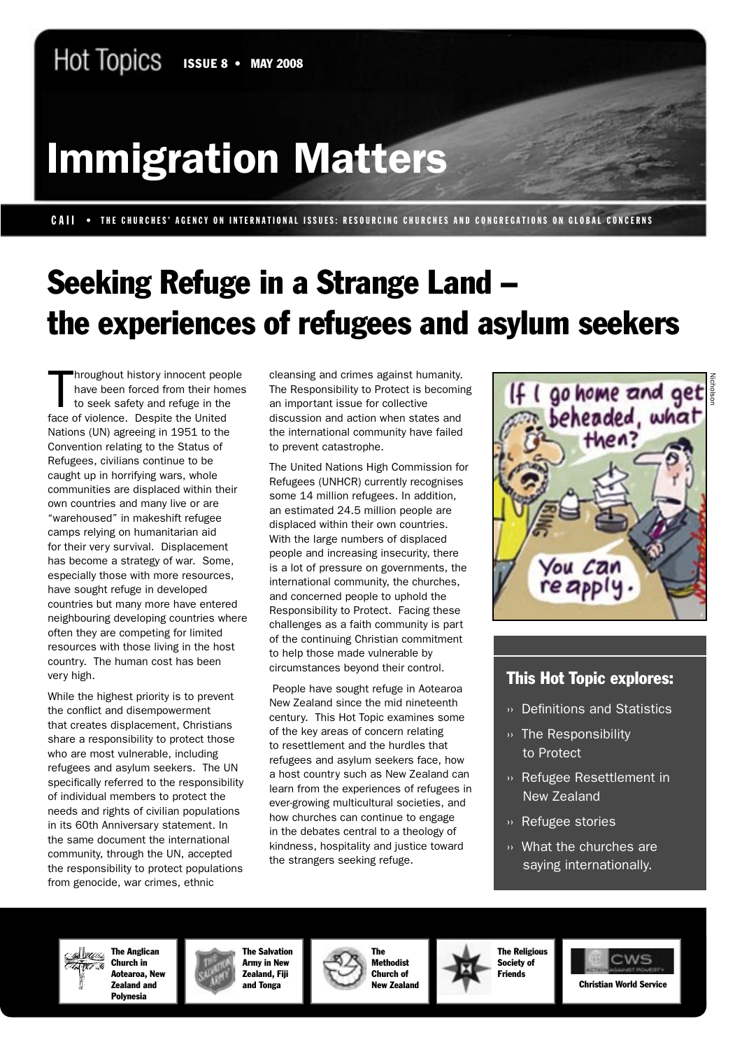# Immigration Matters

CAII • THE CHURCHES' AGENCY ON INTERNATIONAL ISSUES: RESOURCING CHURCHES AND CONGREGATIONS ON GLOBAL CONCERNS

# Seeking Refuge in a Strange Land – the experiences of refugees and asylum seekers

hroughout history innocent people<br>have been forced from their hor<br>to seek safety and refuge in the<br>face of violence. Despite the United hroughout history innocent people have been forced from their homes to seek safety and refuge in the Nations (UN) agreeing in 1951 to the Convention relating to the Status of Refugees, civilians continue to be caught up in horrifying wars, whole communities are displaced within their own countries and many live or are "warehoused" in makeshift refugee camps relying on humanitarian aid for their very survival. Displacement has become a strategy of war. Some, especially those with more resources, have sought refuge in developed countries but many more have entered neighbouring developing countries where often they are competing for limited resources with those living in the host country. The human cost has been very high.

While the highest priority is to prevent the conflict and disempowerment that creates displacement, Christians share a responsibility to protect those who are most vulnerable, including refugees and asylum seekers. The UN specifically referred to the responsibility of individual members to protect the needs and rights of civilian populations in its 60th Anniversary statement. In the same document the international community, through the UN, accepted the responsibility to protect populations from genocide, war crimes, ethnic

cleansing and crimes against humanity. The Responsibility to Protect is becoming an important issue for collective discussion and action when states and the international community have failed to prevent catastrophe.

The United Nations High Commission for Refugees (UNHCR) currently recognises some 14 million refugees. In addition, an estimated 24.5 million people are displaced within their own countries. With the large numbers of displaced people and increasing insecurity, there is a lot of pressure on governments, the international community, the churches, and concerned people to uphold the Responsibility to Protect. Facing these challenges as a faith community is part of the continuing Christian commitment to help those made vulnerable by circumstances beyond their control.

 People have sought refuge in Aotearoa New Zealand since the mid nineteenth century. This Hot Topic examines some of the key areas of concern relating to resettlement and the hurdles that refugees and asylum seekers face, how a host country such as New Zealand can learn from the experiences of refugees in ever-growing multicultural societies, and how churches can continue to engage in the debates central to a theology of kindness, hospitality and justice toward the strangers seeking refuge.



#### This Hot Topic explores:

- ›› Definitions and Statistics
- ›› The Responsibility to Protect
- ›› Refugee Resettlement in New Zealand
- ›› Refugee stories
- ›› What the churches are saying internationally.

The Anglican **Millela** Church in Aotearoa, New Zealand and Polynesia



The Salvation Army in New Zealand, Fiji and Tonga



The Religious Society of Friends

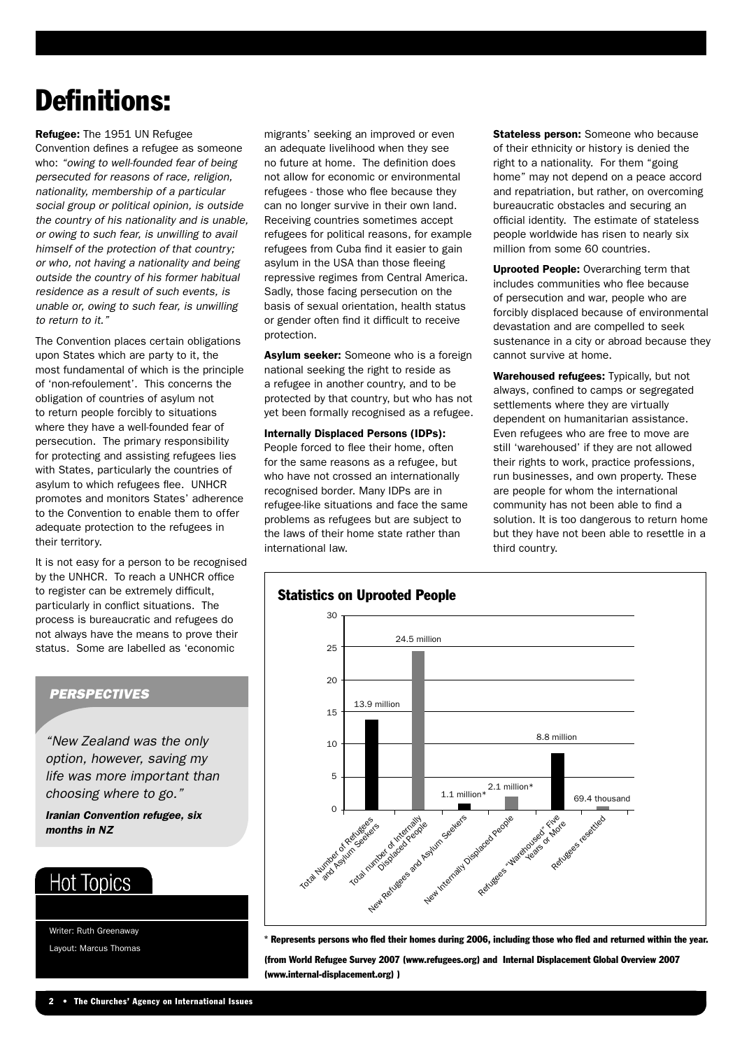# Definitions:

Refugee: The 1951 UN Refugee Convention defines a refugee as someone who: "owing to well-founded fear of being persecuted for reasons of race, religion, nationality, membership of a particular social group or political opinion, is outside the country of his nationality and is unable, or owing to such fear, is unwilling to avail himself of the protection of that country; or who, not having a nationality and being outside the country of his former habitual residence as a result of such events, is unable or, owing to such fear, is unwilling to return to it."

The Convention places certain obligations upon States which are party to it, the most fundamental of which is the principle of 'non-refoulement'. This concerns the obligation of countries of asylum not to return people forcibly to situations where they have a well-founded fear of persecution. The primary responsibility for protecting and assisting refugees lies with States, particularly the countries of asylum to which refugees flee. UNHCR promotes and monitors States' adherence to the Convention to enable them to offer adequate protection to the refugees in their territory.

It is not easy for a person to be recognised by the UNHCR. To reach a UNHCR office to register can be extremely difficult, particularly in conflict situations. The process is bureaucratic and refugees do not always have the means to prove their status. Some are labelled as 'economic

#### **PERSPECTIVES**

"New Zealand was the only option, however, saving my life was more important than choosing where to go."

Iranian Convention refugee, six months in NZ

### **Hot Topics**

Writer: Ruth Greenaway Layout: Marcus Thomas migrants' seeking an improved or even an adequate livelihood when they see no future at home. The definition does not allow for economic or environmental refugees - those who flee because they can no longer survive in their own land. Receiving countries sometimes accept refugees for political reasons, for example refugees from Cuba find it easier to gain asylum in the USA than those fleeing repressive regimes from Central America. Sadly, those facing persecution on the basis of sexual orientation, health status or gender often find it difficult to receive protection.

Asylum seeker: Someone who is a foreign national seeking the right to reside as a refugee in another country, and to be protected by that country, but who has not yet been formally recognised as a refugee.

Internally Displaced Persons (IDPs): People forced to flee their home, often for the same reasons as a refugee, but who have not crossed an internationally recognised border. Many IDPs are in refugee-like situations and face the same problems as refugees but are subject to the laws of their home state rather than international law.

Stateless person: Someone who because of their ethnicity or history is denied the right to a nationality. For them "going home" may not depend on a peace accord and repatriation, but rather, on overcoming bureaucratic obstacles and securing an official identity. The estimate of stateless people worldwide has risen to nearly six million from some 60 countries.

Uprooted People: Overarching term that includes communities who flee because of persecution and war, people who are forcibly displaced because of environmental devastation and are compelled to seek sustenance in a city or abroad because they cannot survive at home.

Warehoused refugees: Typically, but not always, confined to camps or segregated settlements where they are virtually dependent on humanitarian assistance. Even refugees who are free to move are still 'warehoused' if they are not allowed their rights to work, practice professions, run businesses, and own property. These are people for whom the international community has not been able to find a solution. It is too dangerous to return home but they have not been able to resettle in a third country.



\* Represents persons who fled their homes during 2006, including those who fled and returned within the year.

(from World Refugee Survey 2007 (www.refugees.org) and Internal Displacement Global Overview 2007 (www.internal-displacement.org) )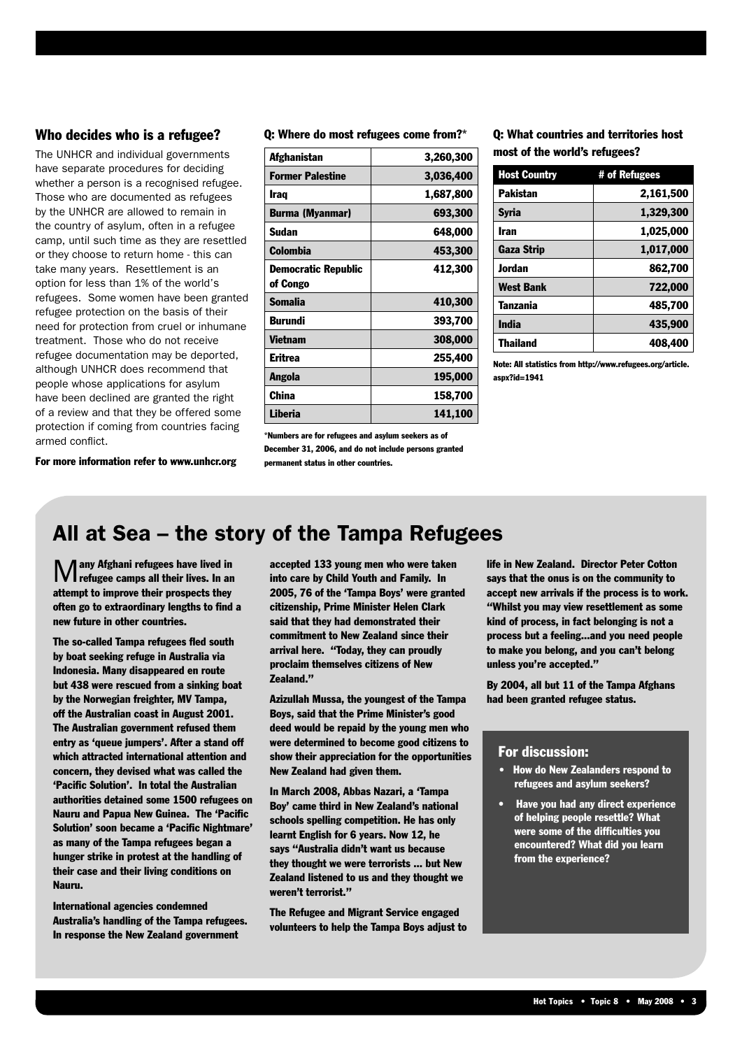#### Who decides who is a refugee?

The UNHCR and individual governments have separate procedures for deciding whether a person is a recognised refugee. Those who are documented as refugees by the UNHCR are allowed to remain in the country of asylum, often in a refugee camp, until such time as they are resettled or they choose to return home - this can take many years. Resettlement is an option for less than 1% of the world's refugees. Some women have been granted refugee protection on the basis of their need for protection from cruel or inhumane treatment. Those who do not receive refugee documentation may be deported, although UNHCR does recommend that people whose applications for asylum have been declined are granted the right of a review and that they be offered some protection if coming from countries facing armed conflict.

#### Q: Where do most refugees come from?\*

| Afghanistan                | 3,260,300 |
|----------------------------|-----------|
| <b>Former Palestine</b>    | 3,036,400 |
| <b>Iraq</b>                | 1,687,800 |
| <b>Burma (Myanmar)</b>     | 693,300   |
| Sudan                      | 648,000   |
| <b>Colombia</b>            | 453,300   |
| <b>Democratic Republic</b> | 412,300   |
| of Congo                   |           |
| <b>Somalia</b>             | 410,300   |
| Burundi                    | 393,700   |
| Vietnam                    | 308,000   |
| Eritrea                    | 255,400   |
| Angola                     | 195,000   |
| China                      | 158,700   |
| <b>Liberia</b>             | 141,100   |

\*Numbers are for refugees and asylum seekers as of December 31, 2006, and do not include persons granted permanent status in other countries.

#### Q: What countries and territories host most of the world's refugees?

| <b>Host Country</b> | # of Refugees |
|---------------------|---------------|
| <b>Pakistan</b>     | 2,161,500     |
| <b>Syria</b>        | 1,329,300     |
| Iran                | 1,025,000     |
| <b>Gaza Strip</b>   | 1,017,000     |
| <b>Jordan</b>       | 862.700       |
| West Bank           | 722,000       |
| <b>Tanzania</b>     | 485.700       |
| <b>India</b>        | 435.900       |
| Thailand            | 408,400       |

Note: All statistics from http://www.refugees.org/article. aspx?id=1941

For more information refer to www.unhcr.org

### All at Sea – the story of the Tampa Refugees

Many Afghani refugees have lived in refugee camps all their lives. In an attempt to improve their prospects they often go to extraordinary lengths to find a new future in other countries.

The so-called Tampa refugees fled south by boat seeking refuge in Australia via Indonesia. Many disappeared en route but 438 were rescued from a sinking boat by the Norwegian freighter, MV Tampa, off the Australian coast in August 2001. The Australian government refused them entry as 'queue jumpers'. After a stand off which attracted international attention and concern, they devised what was called the 'Pacific Solution'. In total the Australian authorities detained some 1500 refugees on Nauru and Papua New Guinea. The 'Pacific Solution' soon became a 'Pacific Nightmare' as many of the Tampa refugees began a hunger strike in protest at the handling of their case and their living conditions on Nauru.

International agencies condemned Australia's handling of the Tampa refugees. In response the New Zealand government

accepted 133 young men who were taken into care by Child Youth and Family. In 2005, 76 of the 'Tampa Boys' were granted citizenship, Prime Minister Helen Clark said that they had demonstrated their commitment to New Zealand since their arrival here. "Today, they can proudly proclaim themselves citizens of New Zealand."

Azizullah Mussa, the youngest of the Tampa Boys, said that the Prime Minister's good deed would be repaid by the young men who were determined to become good citizens to show their appreciation for the opportunities New Zealand had given them.

In March 2008, Abbas Nazari, a 'Tampa Boy' came third in New Zealand's national schools spelling competition. He has only learnt English for 6 years. Now 12, he says "Australia didn't want us because they thought we were terrorists ... but New Zealand listened to us and they thought we weren't terrorist."

The Refugee and Migrant Service engaged volunteers to help the Tampa Boys adjust to life in New Zealand. Director Peter Cotton says that the onus is on the community to accept new arrivals if the process is to work. "Whilst you may view resettlement as some kind of process, in fact belonging is not a process but a feeling...and you need people to make you belong, and you can't belong unless you're accepted."

By 2004, all but 11 of the Tampa Afghans had been granted refugee status.

#### For discussion:

- How do New Zealanders respond to refugees and asylum seekers?
- Have you had any direct experience of helping people resettle? What were some of the difficulties you encountered? What did you learn from the experience?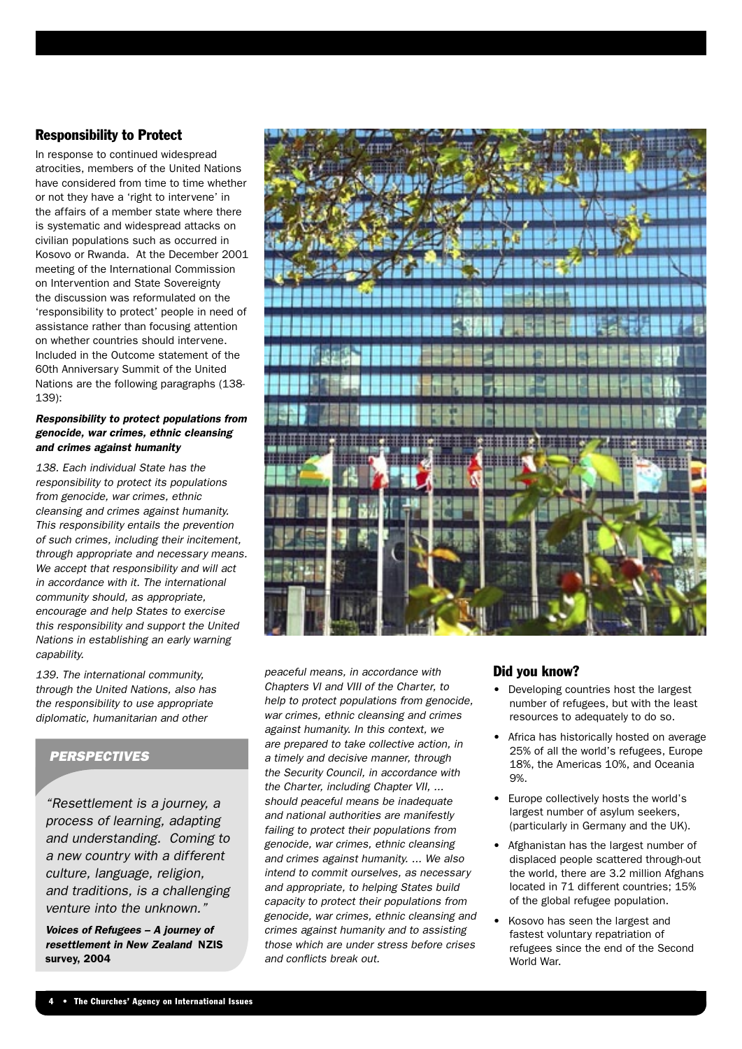#### Responsibility to Protect

In response to continued widespread atrocities, members of the United Nations have considered from time to time whether or not they have a 'right to intervene' in the affairs of a member state where there is systematic and widespread attacks on civilian populations such as occurred in Kosovo or Rwanda. At the December 2001 meeting of the International Commission on Intervention and State Sovereignty the discussion was reformulated on the 'responsibility to protect' people in need of assistance rather than focusing attention on whether countries should intervene. Included in the Outcome statement of the 60th Anniversary Summit of the United Nations are the following paragraphs (138- 139):

#### Responsibility to protect populations from genocide, war crimes, ethnic cleansing and crimes against humanity

138. Each individual State has the responsibility to protect its populations from genocide, war crimes, ethnic cleansing and crimes against humanity. This responsibility entails the prevention of such crimes, including their incitement, through appropriate and necessary means. We accept that responsibility and will act in accordance with it. The international community should, as appropriate, encourage and help States to exercise this responsibility and support the United Nations in establishing an early warning capability.

139. The international community, through the United Nations, also has the responsibility to use appropriate diplomatic, humanitarian and other

#### **PERSPECTIVES**

"Resettlement is a journey, a process of learning, adapting and understanding. Coming to a new country with a different culture, language, religion, and traditions, is a challenging venture into the unknown."

Voices of Refugees – A journey of resettlement in New Zealand NZIS survey, 2004



peaceful means, in accordance with Chapters VI and VIII of the Charter, to help to protect populations from genocide, war crimes, ethnic cleansing and crimes against humanity. In this context, we are prepared to take collective action, in a timely and decisive manner, through the Security Council, in accordance with the Charter, including Chapter VII, ... should peaceful means be inadequate and national authorities are manifestly failing to protect their populations from genocide, war crimes, ethnic cleansing and crimes against humanity. ... We also intend to commit ourselves, as necessary and appropriate, to helping States build capacity to protect their populations from genocide, war crimes, ethnic cleansing and crimes against humanity and to assisting those which are under stress before crises and conflicts break out.

#### Did you know?

- Developing countries host the largest number of refugees, but with the least resources to adequately to do so.
- Africa has historically hosted on average 25% of all the world's refugees, Europe 18%, the Americas 10%, and Oceania **Q%**
- Europe collectively hosts the world's largest number of asylum seekers, (particularly in Germany and the UK).
- Afghanistan has the largest number of displaced people scattered through-out the world, there are 3.2 million Afghans located in 71 different countries; 15% of the global refugee population.
- Kosovo has seen the largest and fastest voluntary repatriation of refugees since the end of the Second World War.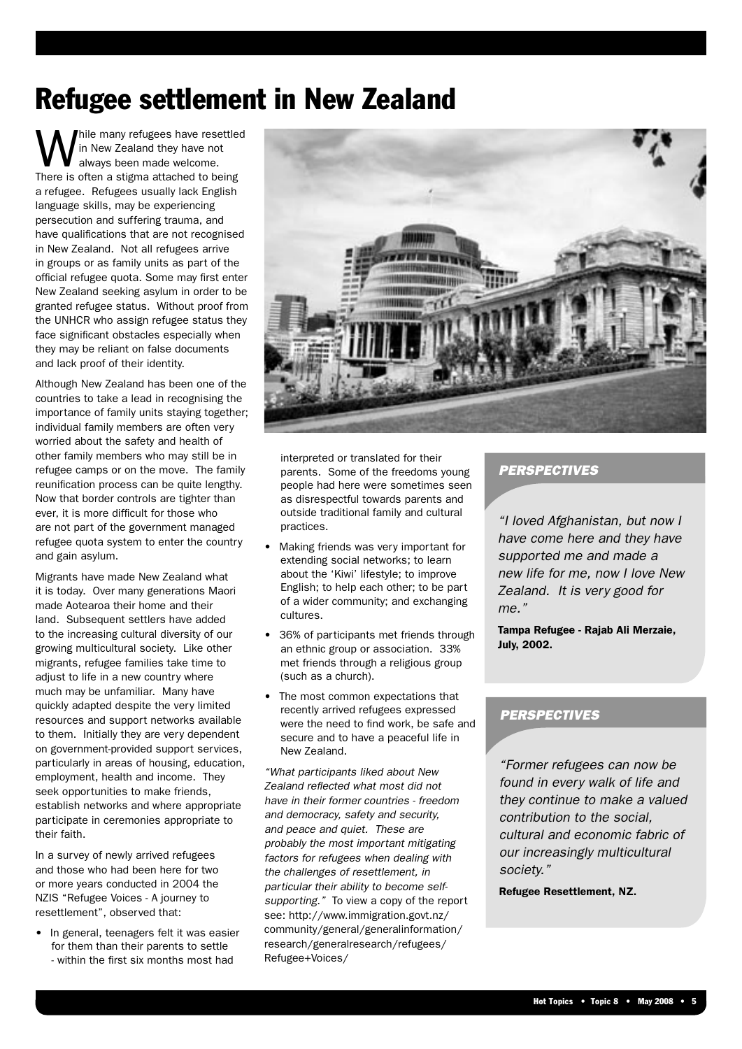# Refugee settlement in New Zealand

hile many refugees have resettled in New Zealand they have not always been made welcome. There is often a stigma attached to being a refugee. Refugees usually lack English language skills, may be experiencing persecution and suffering trauma, and have qualifications that are not recognised in New Zealand. Not all refugees arrive in groups or as family units as part of the official refugee quota. Some may first enter New Zealand seeking asylum in order to be granted refugee status. Without proof from the UNHCR who assign refugee status they face significant obstacles especially when they may be reliant on false documents and lack proof of their identity.

Although New Zealand has been one of the countries to take a lead in recognising the importance of family units staying together; individual family members are often very worried about the safety and health of other family members who may still be in refugee camps or on the move. The family reunification process can be quite lengthy. Now that border controls are tighter than ever, it is more difficult for those who are not part of the government managed refugee quota system to enter the country and gain asylum.

Migrants have made New Zealand what it is today. Over many generations Maori made Aotearoa their home and their land. Subsequent settlers have added to the increasing cultural diversity of our growing multicultural society. Like other migrants, refugee families take time to adjust to life in a new country where much may be unfamiliar. Many have quickly adapted despite the very limited resources and support networks available to them. Initially they are very dependent on government-provided support services, particularly in areas of housing, education, employment, health and income. They seek opportunities to make friends, establish networks and where appropriate participate in ceremonies appropriate to their faith.

In a survey of newly arrived refugees and those who had been here for two or more years conducted in 2004 the NZIS "Refugee Voices - A journey to resettlement", observed that:

• In general, teenagers felt it was easier for them than their parents to settle - within the first six months most had



interpreted or translated for their parents. Some of the freedoms young people had here were sometimes seen as disrespectful towards parents and outside traditional family and cultural practices.

- Making friends was very important for extending social networks; to learn about the 'Kiwi' lifestyle; to improve English; to help each other; to be part of a wider community; and exchanging cultures.
- 36% of participants met friends through an ethnic group or association. 33% met friends through a religious group (such as a church).
- The most common expectations that recently arrived refugees expressed were the need to find work, be safe and secure and to have a peaceful life in New Zealand.

"What participants liked about New Zealand reflected what most did not have in their former countries - freedom and democracy, safety and security, and peace and quiet. These are probably the most important mitigating factors for refugees when dealing with the challenges of resettlement, in particular their ability to become selfsupporting." To view a copy of the report see: http://www.immigration.govt.nz/ community/general/generalinformation/ research/generalresearch/refugees/ Refugee+Voices/

#### **PERSPECTIVES**

"I loved Afghanistan, but now I have come here and they have supported me and made a new life for me, now I love New Zealand. It is very good for me."

Tampa Refugee - Rajab Ali Merzaie, July, 2002.

#### **PERSPECTIVES**

"Former refugees can now be found in every walk of life and they continue to make a valued contribution to the social, cultural and economic fabric of our increasingly multicultural society."

Refugee Resettlement, NZ.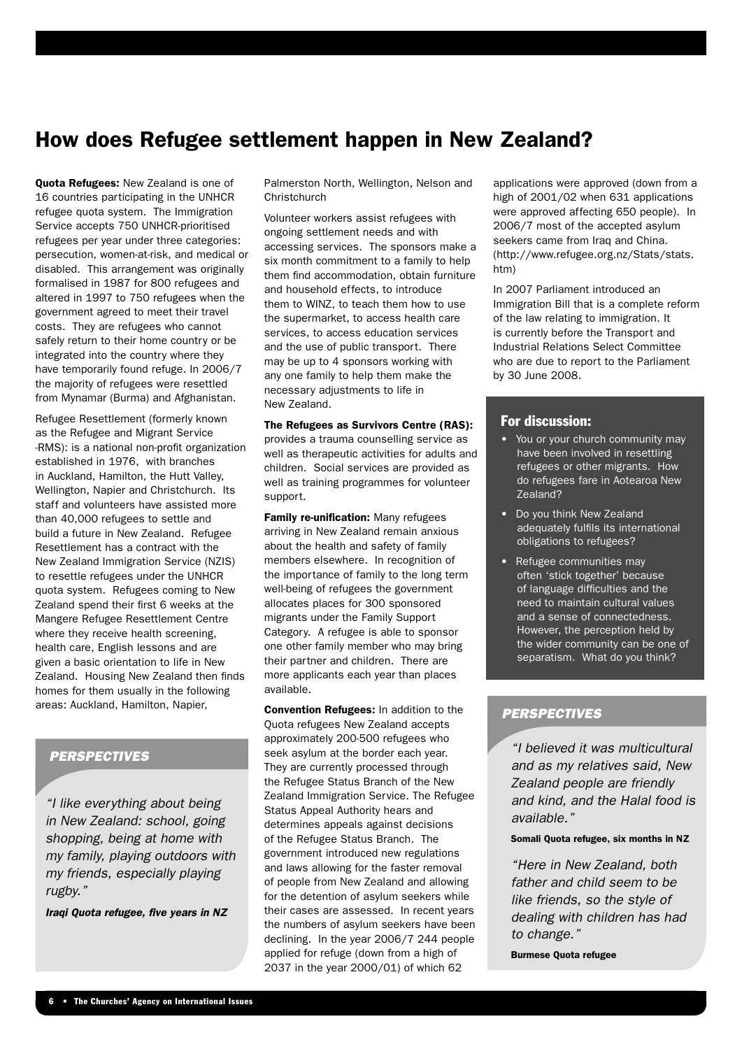## How does Refugee settlement happen in New Zealand?

Quota Refugees: New Zealand is one of 16 countries participating in the UNHCR refugee quota system. The Immigration Service accepts 750 UNHCR-prioritised refugees per year under three categories: persecution, women-at-risk, and medical or disabled. This arrangement was originally formalised in 1987 for 800 refugees and altered in 1997 to 750 refugees when the government agreed to meet their travel costs. They are refugees who cannot safely return to their home country or be integrated into the country where they have temporarily found refuge. In 2006/7 the majority of refugees were resettled from Mynamar (Burma) and Afghanistan.

Refugee Resettlement (formerly known as the Refugee and Migrant Service -RMS): is a national non-profit organization established in 1976, with branches in Auckland, Hamilton, the Hutt Valley, Wellington, Napier and Christchurch. Its staff and volunteers have assisted more than 40,000 refugees to settle and build a future in New Zealand. Refugee Resettlement has a contract with the New Zealand Immigration Service (NZIS) to resettle refugees under the UNHCR quota system. Refugees coming to New Zealand spend their first 6 weeks at the Mangere Refugee Resettlement Centre where they receive health screening. health care, English lessons and are given a basic orientation to life in New Zealand. Housing New Zealand then finds homes for them usually in the following areas: Auckland, Hamilton, Napier,

#### **PERSPECTIVES**

"I like everything about being in New Zealand: school, going shopping, being at home with my family, playing outdoors with my friends, especially playing rugby."

Iraqi Quota refugee, five years in NZ

Palmerston North, Wellington, Nelson and **Christchurch** 

Volunteer workers assist refugees with ongoing settlement needs and with accessing services. The sponsors make a six month commitment to a family to help them find accommodation, obtain furniture and household effects, to introduce them to WINZ, to teach them how to use the supermarket, to access health care services, to access education services and the use of public transport. There may be up to 4 sponsors working with any one family to help them make the necessary adjustments to life in New Zealand.

#### The Refugees as Survivors Centre (RAS):

provides a trauma counselling service as well as therapeutic activities for adults and children. Social services are provided as well as training programmes for volunteer support.

**Family re-unification:** Many refugees arriving in New Zealand remain anxious about the health and safety of family members elsewhere. In recognition of the importance of family to the long term well-being of refugees the government allocates places for 300 sponsored migrants under the Family Support Category. A refugee is able to sponsor one other family member who may bring their partner and children. There are more applicants each year than places available.

**Convention Refugees:** In addition to the Quota refugees New Zealand accepts approximately 200-500 refugees who seek asylum at the border each year. They are currently processed through the Refugee Status Branch of the New Zealand Immigration Service. The Refugee Status Appeal Authority hears and determines appeals against decisions of the Refugee Status Branch. The government introduced new regulations and laws allowing for the faster removal of people from New Zealand and allowing for the detention of asylum seekers while their cases are assessed. In recent years the numbers of asylum seekers have been declining. In the year 2006/7 244 people applied for refuge (down from a high of 2037 in the year 2000/01) of which 62

applications were approved (down from a high of 2001/02 when 631 applications were approved affecting 650 people). In 2006/7 most of the accepted asylum seekers came from Iraq and China. (http://www.refugee.org.nz/Stats/stats. htm)

In 2007 Parliament introduced an Immigration Bill that is a complete reform of the law relating to immigration. It is currently before the Transport and Industrial Relations Select Committee who are due to report to the Parliament by 30 June 2008.

#### For discussion:

- You or your church community may have been involved in resettling refugees or other migrants. How do refugees fare in Aotearoa New Zealand?
- Do you think New Zealand adequately fulfils its international obligations to refugees?
- Refugee communities may often 'stick together' because of language difficulties and the need to maintain cultural values and a sense of connectedness. However, the perception held by the wider community can be one of separatism. What do you think?

#### **PERSPECTIVES**

"I believed it was multicultural and as my relatives said, New Zealand people are friendly and kind, and the Halal food is available."

#### Somali Quota refugee, six months in NZ

"Here in New Zealand, both father and child seem to be like friends, so the style of dealing with children has had to change."

Burmese Quota refugee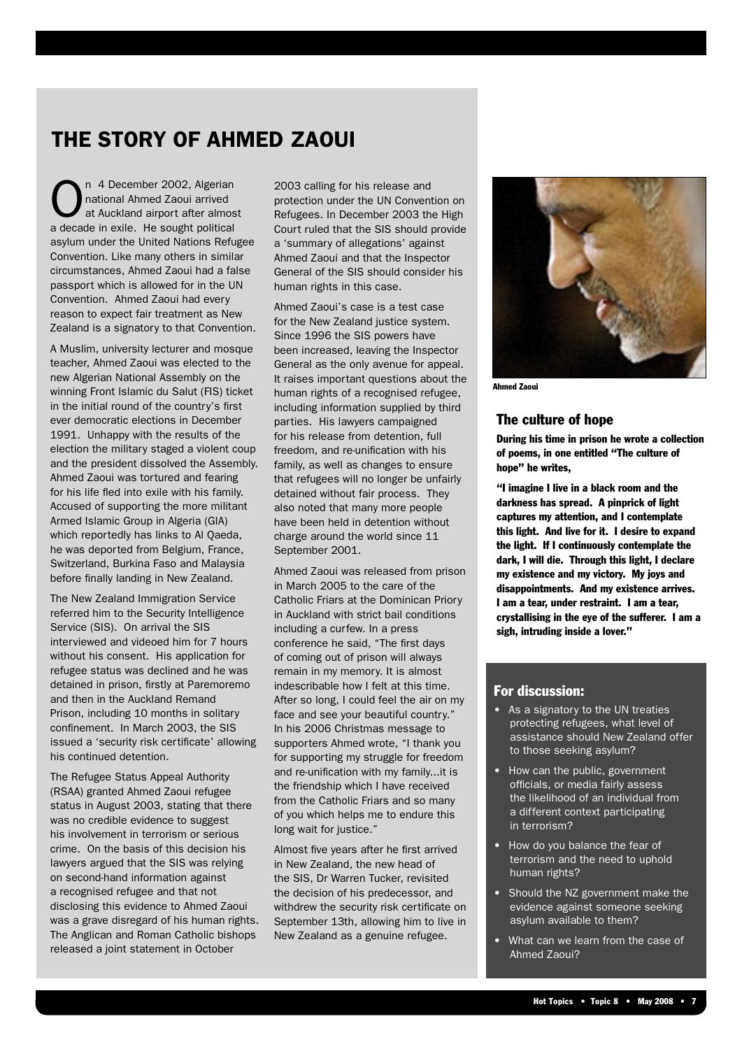## THE STORY OF AHMED ZAOUI

n 4 December 2002, Algerian national Ahmed Zaoui arrived at Auckland airport after almost a decade in exile. He sought political asylum under the United Nations Refugee Convention. Like many others in similar circumstances, Ahmed Zaoui had a false passport which is allowed for in the UN Convention. Ahmed Zaoui had every reason to expect fair treatment as New Zealand is a signatory to that Convention.

A Muslim, university lecturer and mosque teacher, Ahmed Zaoui was elected to the new Algerian National Assembly on the winning Front Islamic du Salut (FIS) ticket in the initial round of the country's first ever democratic elections in December 1991. Unhappy with the results of the election the military staged a violent coup and the president dissolved the Assembly. Ahmed Zaoui was tortured and fearing for his life fled into exile with his family. Accused of supporting the more militant Armed Islamic Group in Algeria (GIA) which reportedly has links to Al Qaeda, he was deported from Belgium, France, Switzerland, Burkina Faso and Malaysia before finally landing in New Zealand.

The New Zealand Immigration Service referred him to the Security Intelligence Service (SIS). On arrival the SIS interviewed and videoed him for 7 hours without his consent. His application for refugee status was declined and he was detained in prison, firstly at Paremoremo and then in the Auckland Remand Prison, including 10 months in solitary confinement. In March 2003, the SIS issued a 'security risk certificate' allowing his continued detention.

The Refugee Status Appeal Authority (RSAA) granted Ahmed Zaoui refugee status in August 2003, stating that there was no credible evidence to suggest his involvement in terrorism or serious crime. On the basis of this decision his lawyers argued that the SIS was relying on second-hand information against a recognised refugee and that not disclosing this evidence to Ahmed Zaoui was a grave disregard of his human rights. The Anglican and Roman Catholic bishops released a joint statement in October

2003 calling for his release and protection under the UN Convention on Refugees. In December 2003 the High Court ruled that the SIS should provide a 'summary of allegations' against Ahmed Zaoui and that the Inspector General of the SIS should consider his human rights in this case.

Ahmed Zaoui's case is a test case for the New Zealand justice system. Since 1996 the SIS powers have been increased, leaving the Inspector General as the only avenue for appeal. It raises important questions about the human rights of a recognised refugee, including information supplied by third parties. His lawyers campaigned for his release from detention, full freedom, and re-unification with his family, as well as changes to ensure that refugees will no longer be unfairly detained without fair process. They also noted that many more people have been held in detention without charge around the world since 11 September 2001.

Ahmed Zaoui was released from prison in March 2005 to the care of the Catholic Friars at the Dominican Priory in Auckland with strict bail conditions including a curfew. In a press conference he said, "The first days of coming out of prison will always remain in my memory. It is almost indescribable how I felt at this time. After so long, I could feel the air on my face and see your beautiful country." In his 2006 Christmas message to supporters Ahmed wrote, "I thank you for supporting my struggle for freedom and re-unification with my family...it is the friendship which I have received from the Catholic Friars and so many of you which helps me to endure this long wait for justice."

Almost five years after he first arrived in New Zealand, the new head of the SIS, Dr Warren Tucker, revisited the decision of his predecessor, and withdrew the security risk certificate on September 13th, allowing him to live in New Zealand as a genuine refugee.



Ahmed Zaoui

#### The culture of hope

During his time in prison he wrote a collection of poems, in one entitled "The culture of hope" he writes,

"I imagine I live in a black room and the darkness has spread. A pinprick of light captures my attention, and I contemplate this light. And live for it. I desire to expand the light. If I continuously contemplate the dark, I will die. Through this light, I declare my existence and my victory. My joys and disappointments. And my existence arrives. I am a tear, under restraint. I am a tear, crystallising in the eye of the sufferer. I am a sigh, intruding inside a lover."

#### For discussion:

- As a signatory to the UN treaties protecting refugees, what level of assistance should New Zealand offer to those seeking asylum?
- How can the public, government officials, or media fairly assess the likelihood of an individual from a different context participating in terrorism?
- How do you balance the fear of terrorism and the need to uphold human rights?
- Should the NZ government make the evidence against someone seeking asylum available to them?
- What can we learn from the case of Ahmed Zaoui?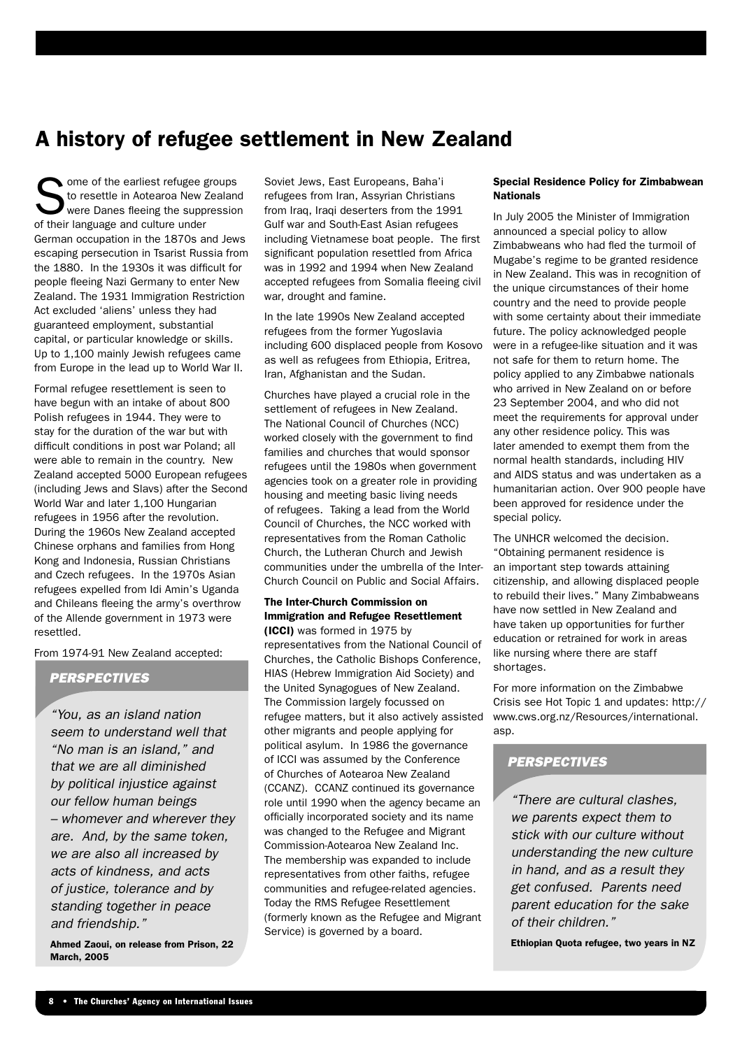## A history of refugee settlement in New Zealand

Some of the earliest refugee groups<br>
to resettle in Aotearoa New Zealand<br>
were Danes fleeing the suppression to resettle in Aotearoa New Zealand of their language and culture under German occupation in the 1870s and Jews escaping persecution in Tsarist Russia from the 1880. In the 1930s it was difficult for people fleeing Nazi Germany to enter New Zealand. The 1931 Immigration Restriction Act excluded 'aliens' unless they had guaranteed employment, substantial capital, or particular knowledge or skills. Up to 1,100 mainly Jewish refugees came from Europe in the lead up to World War II.

Formal refugee resettlement is seen to have begun with an intake of about 800 Polish refugees in 1944. They were to stay for the duration of the war but with difficult conditions in post war Poland; all were able to remain in the country. New Zealand accepted 5000 European refugees (including Jews and Slavs) after the Second World War and later 1,100 Hungarian refugees in 1956 after the revolution. During the 1960s New Zealand accepted Chinese orphans and families from Hong Kong and Indonesia, Russian Christians and Czech refugees. In the 1970s Asian refugees expelled from Idi Amin's Uganda and Chileans fleeing the army's overthrow of the Allende government in 1973 were resettled.

From 1974-91 New Zealand accepted:

#### **PERSPECTIVES**

"You, as an island nation seem to understand well that "No man is an island," and that we are all diminished by political injustice against our fellow human beings – whomever and wherever they are. And, by the same token, we are also all increased by acts of kindness, and acts of justice, tolerance and by standing together in peace and friendship."

Ahmed Zaoui, on release from Prison, 22 March, 2005

Soviet Jews, East Europeans, Baha'i refugees from Iran, Assyrian Christians from Iraq, Iraqi deserters from the 1991 Gulf war and South-East Asian refugees including Vietnamese boat people. The first significant population resettled from Africa was in 1992 and 1994 when New Zealand accepted refugees from Somalia fleeing civil war, drought and famine.

In the late 1990s New Zealand accepted refugees from the former Yugoslavia including 600 displaced people from Kosovo as well as refugees from Ethiopia, Eritrea, Iran, Afghanistan and the Sudan.

Churches have played a crucial role in the settlement of refugees in New Zealand. The National Council of Churches (NCC) worked closely with the government to find families and churches that would sponsor refugees until the 1980s when government agencies took on a greater role in providing housing and meeting basic living needs of refugees. Taking a lead from the World Council of Churches, the NCC worked with representatives from the Roman Catholic Church, the Lutheran Church and Jewish communities under the umbrella of the Inter-Church Council on Public and Social Affairs.

#### The Inter-Church Commission on Immigration and Refugee Resettlement

(ICCI) was formed in 1975 by representatives from the National Council of Churches, the Catholic Bishops Conference, HIAS (Hebrew Immigration Aid Society) and the United Synagogues of New Zealand. The Commission largely focussed on refugee matters, but it also actively assisted other migrants and people applying for political asylum. In 1986 the governance of ICCI was assumed by the Conference of Churches of Aotearoa New Zealand (CCANZ). CCANZ continued its governance role until 1990 when the agency became an officially incorporated society and its name was changed to the Refugee and Migrant Commission-Aotearoa New Zealand Inc. The membership was expanded to include representatives from other faiths, refugee communities and refugee-related agencies. Today the RMS Refugee Resettlement (formerly known as the Refugee and Migrant Service) is governed by a board.

#### Special Residence Policy for Zimbabwean Nationals

In July 2005 the Minister of Immigration announced a special policy to allow Zimbabweans who had fled the turmoil of Mugabe's regime to be granted residence in New Zealand. This was in recognition of the unique circumstances of their home country and the need to provide people with some certainty about their immediate future. The policy acknowledged people were in a refugee-like situation and it was not safe for them to return home. The policy applied to any Zimbabwe nationals who arrived in New Zealand on or before 23 September 2004, and who did not meet the requirements for approval under any other residence policy. This was later amended to exempt them from the normal health standards, including HIV and AIDS status and was undertaken as a humanitarian action. Over 900 people have been approved for residence under the special policy.

The UNHCR welcomed the decision. "Obtaining permanent residence is an important step towards attaining citizenship, and allowing displaced people to rebuild their lives." Many Zimbabweans have now settled in New Zealand and have taken up opportunities for further education or retrained for work in areas like nursing where there are staff shortages.

For more information on the Zimbabwe Crisis see Hot Topic 1 and updates: http:// www.cws.org.nz/Resources/international. asp.

#### **PERSPECTIVES**

"There are cultural clashes, we parents expect them to stick with our culture without understanding the new culture in hand, and as a result they get confused. Parents need parent education for the sake of their children."

Ethiopian Quota refugee, two years in NZ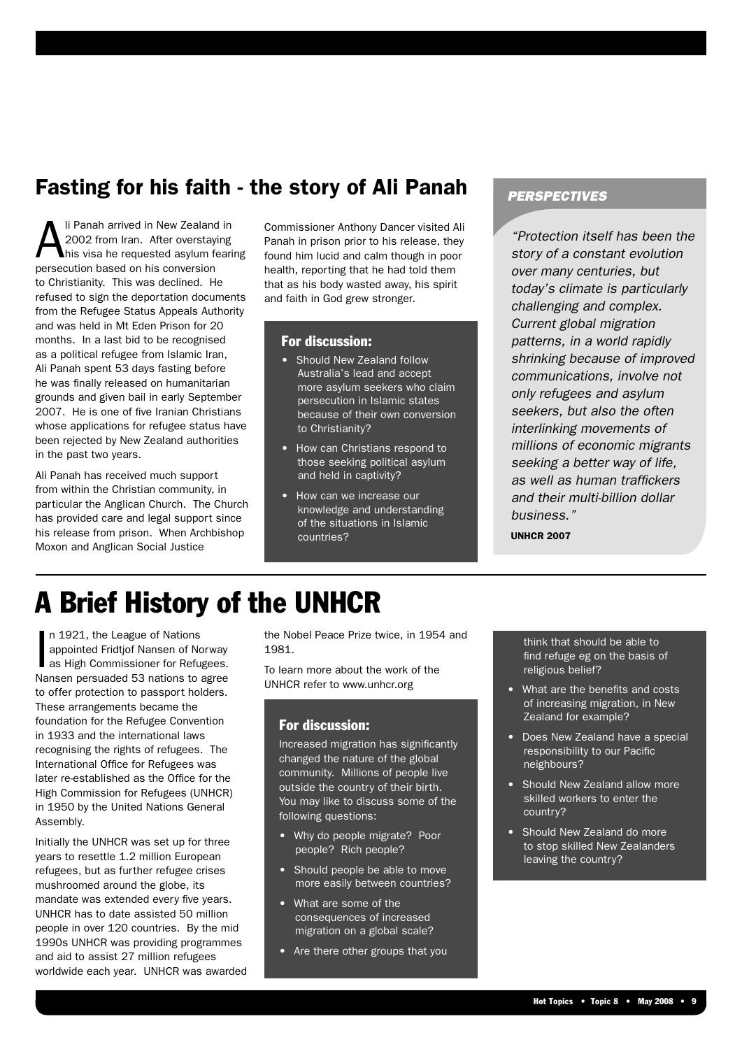## Fasting for his faith - the story of Ali Panah

Ii Panah arrived in New Zealand in 2002 from Iran. After overstaying his visa he requested asylum fearing persecution based on his conversion to Christianity. This was declined. He refused to sign the deportation documents from the Refugee Status Appeals Authority and was held in Mt Eden Prison for 20 months. In a last bid to be recognised as a political refugee from Islamic Iran, Ali Panah spent 53 days fasting before he was finally released on humanitarian grounds and given bail in early September 2007. He is one of five Iranian Christians whose applications for refugee status have been rejected by New Zealand authorities in the past two years.

Ali Panah has received much support from within the Christian community, in particular the Anglican Church. The Church has provided care and legal support since his release from prison. When Archbishop Moxon and Anglican Social Justice

Commissioner Anthony Dancer visited Ali Panah in prison prior to his release, they found him lucid and calm though in poor health, reporting that he had told them that as his body wasted away, his spirit and faith in God grew stronger.

#### For discussion:

- Should New Zealand follow Australia's lead and accept more asylum seekers who claim persecution in Islamic states because of their own conversion to Christianity?
- How can Christians respond to those seeking political asylum and held in captivity?
- How can we increase our knowledge and understanding of the situations in Islamic countries?

#### **PERSPECTIVES**

"Protection itself has been the story of a constant evolution over many centuries, but today's climate is particularly challenging and complex. Current global migration patterns, in a world rapidly shrinking because of improved communications, involve not only refugees and asylum seekers, but also the often interlinking movements of millions of economic migrants seeking a better way of life, as well as human traffickers and their multi-billion dollar business."

UNHCR 2007

# A Brief History of the UNHCR

In 1921, the League of Nations<br>appointed Fridtjof Nansen of Norway<br>as High Commissioner for Refugees.<br>Nansen persuaded 53 nations to agree n 1921, the League of Nations appointed Fridtjof Nansen of Norway as High Commissioner for Refugees. to offer protection to passport holders. These arrangements became the foundation for the Refugee Convention in 1933 and the international laws recognising the rights of refugees. The International Office for Refugees was later re-established as the Office for the High Commission for Refugees (UNHCR) in 1950 by the United Nations General Assembly.

Initially the UNHCR was set up for three years to resettle 1.2 million European refugees, but as further refugee crises mushroomed around the globe, its mandate was extended every five years. UNHCR has to date assisted 50 million people in over 120 countries. By the mid 1990s UNHCR was providing programmes and aid to assist 27 million refugees worldwide each year. UNHCR was awarded the Nobel Peace Prize twice, in 1954 and 1981.

To learn more about the work of the UNHCR refer to www.unhcr.org

#### For discussion:

Increased migration has significantly changed the nature of the global community. Millions of people live outside the country of their birth. You may like to discuss some of the following questions:

- Why do people migrate? Poor people? Rich people?
- Should people be able to move more easily between countries?
- What are some of the consequences of increased migration on a global scale?
- Are there other groups that you

think that should be able to find refuge eg on the basis of religious belief?

- What are the benefits and costs of increasing migration, in New Zealand for example?
- Does New Zealand have a special responsibility to our Pacific neighbours?
- Should New Zealand allow more skilled workers to enter the country?
- Should New Zealand do more to stop skilled New Zealanders leaving the country?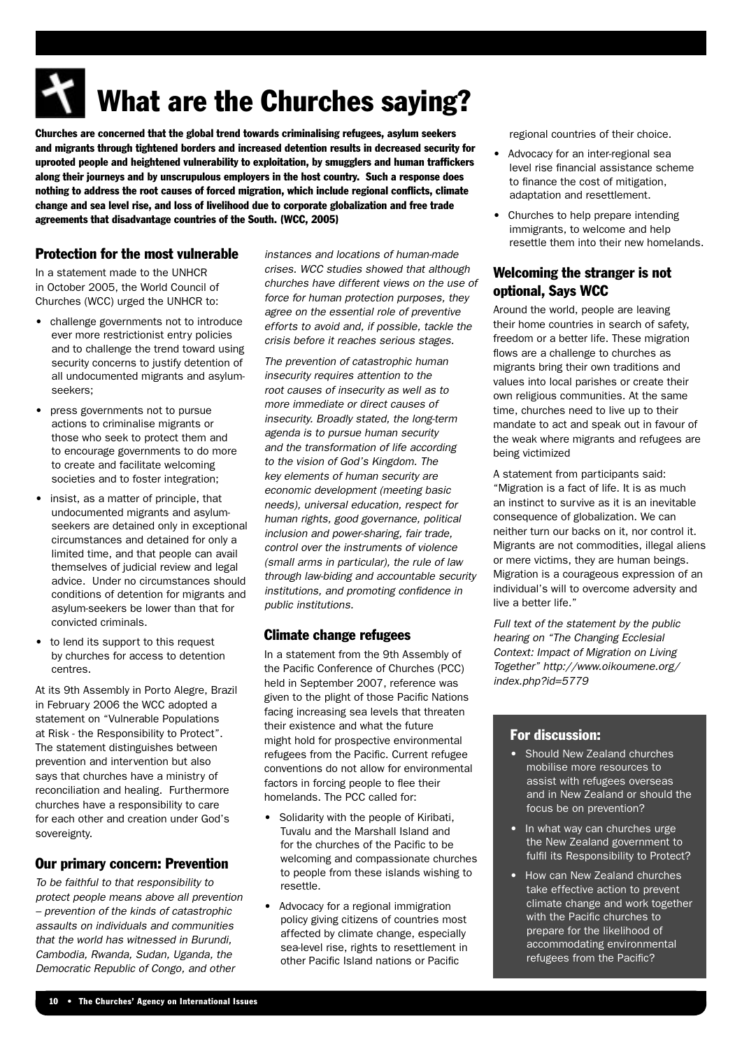# What are the Churches saying?

Churches are concerned that the global trend towards criminalising refugees, asylum seekers and migrants through tightened borders and increased detention results in decreased security for uprooted people and heightened vulnerability to exploitation, by smugglers and human traffickers along their journeys and by unscrupulous employers in the host country. Such a response does nothing to address the root causes of forced migration, which include regional conflicts, climate change and sea level rise, and loss of livelihood due to corporate globalization and free trade agreements that disadvantage countries of the South. (WCC, 2005)

#### Protection for the most vulnerable

In a statement made to the UNHCR in October 2005, the World Council of Churches (WCC) urged the UNHCR to:

- challenge governments not to introduce ever more restrictionist entry policies and to challenge the trend toward using security concerns to justify detention of all undocumented migrants and asylumseekers;
- press governments not to pursue actions to criminalise migrants or those who seek to protect them and to encourage governments to do more to create and facilitate welcoming societies and to foster integration;
- insist, as a matter of principle, that undocumented migrants and asylumseekers are detained only in exceptional circumstances and detained for only a limited time, and that people can avail themselves of judicial review and legal advice. Under no circumstances should conditions of detention for migrants and asylum-seekers be lower than that for convicted criminals.
- to lend its support to this request by churches for access to detention centres.

At its 9th Assembly in Porto Alegre, Brazil in February 2006 the WCC adopted a statement on "Vulnerable Populations at Risk - the Responsibility to Protect". The statement distinguishes between prevention and intervention but also says that churches have a ministry of reconciliation and healing. Furthermore churches have a responsibility to care for each other and creation under God's sovereignty.

#### Our primary concern: Prevention

To be faithful to that responsibility to protect people means above all prevention – prevention of the kinds of catastrophic assaults on individuals and communities that the world has witnessed in Burundi, Cambodia, Rwanda, Sudan, Uganda, the Democratic Republic of Congo, and other

instances and locations of human-made crises. WCC studies showed that although churches have different views on the use of force for human protection purposes, they agree on the essential role of preventive efforts to avoid and, if possible, tackle the crisis before it reaches serious stages.

The prevention of catastrophic human insecurity requires attention to the root causes of insecurity as well as to more immediate or direct causes of insecurity. Broadly stated, the long-term agenda is to pursue human security and the transformation of life according to the vision of God's Kingdom. The key elements of human security are economic development (meeting basic needs), universal education, respect for human rights, good governance, political inclusion and power-sharing, fair trade, control over the instruments of violence (small arms in particular), the rule of law through law-biding and accountable security institutions, and promoting confidence in public institutions.

#### Climate change refugees

In a statement from the 9th Assembly of the Pacific Conference of Churches (PCC) held in September 2007, reference was given to the plight of those Pacific Nations facing increasing sea levels that threaten their existence and what the future might hold for prospective environmental refugees from the Pacific. Current refugee conventions do not allow for environmental factors in forcing people to flee their homelands. The PCC called for:

- Solidarity with the people of Kiribati, Tuvalu and the Marshall Island and for the churches of the Pacific to be welcoming and compassionate churches to people from these islands wishing to resettle.
- Advocacy for a regional immigration policy giving citizens of countries most affected by climate change, especially sea-level rise, rights to resettlement in other Pacific Island nations or Pacific

regional countries of their choice.

- Advocacy for an inter-regional sea level rise financial assistance scheme to finance the cost of mitigation, adaptation and resettlement.
- Churches to help prepare intending immigrants, to welcome and help resettle them into their new homelands.

#### Welcoming the stranger is not optional, Says WCC

Around the world, people are leaving their home countries in search of safety, freedom or a better life. These migration flows are a challenge to churches as migrants bring their own traditions and values into local parishes or create their own religious communities. At the same time, churches need to live up to their mandate to act and speak out in favour of the weak where migrants and refugees are being victimized

A statement from participants said: "Migration is a fact of life. It is as much an instinct to survive as it is an inevitable consequence of globalization. We can neither turn our backs on it, nor control it. Migrants are not commodities, illegal aliens or mere victims, they are human beings. Migration is a courageous expression of an individual's will to overcome adversity and live a better life."

Full text of the statement by the public hearing on "The Changing Ecclesial Context: Impact of Migration on Living Together" http://www.oikoumene.org/ index.php?id=5779

#### For discussion:

- Should New Zealand churches mobilise more resources to assist with refugees overseas and in New Zealand or should the focus be on prevention?
- In what way can churches urge the New Zealand government to fulfil its Responsibility to Protect?
- How can New Zealand churches take effective action to prevent climate change and work together with the Pacific churches to prepare for the likelihood of accommodating environmental refugees from the Pacific?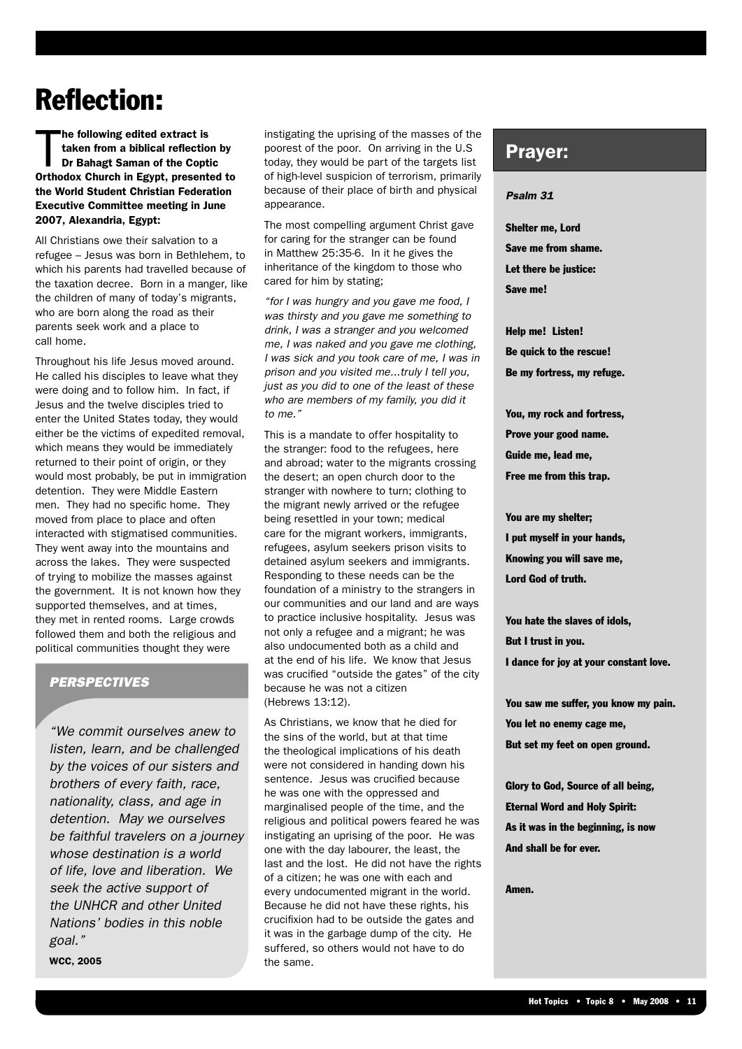## Reflection:

T he following edited extract is taken from a biblical reflection by Dr Bahagt Saman of the Coptic Orthodox Church in Egypt, presented to the World Student Christian Federation Executive Committee meeting in June 2007, Alexandria, Egypt:

All Christians owe their salvation to a refugee – Jesus was born in Bethlehem, to which his parents had travelled because of the taxation decree. Born in a manger, like the children of many of today's migrants, who are born along the road as their parents seek work and a place to call home.

Throughout his life Jesus moved around. He called his disciples to leave what they were doing and to follow him. In fact, if Jesus and the twelve disciples tried to enter the United States today, they would either be the victims of expedited removal, which means they would be immediately returned to their point of origin, or they would most probably, be put in immigration detention. They were Middle Eastern men. They had no specific home. They moved from place to place and often interacted with stigmatised communities. They went away into the mountains and across the lakes. They were suspected of trying to mobilize the masses against the government. It is not known how they supported themselves, and at times, they met in rented rooms. Large crowds followed them and both the religious and political communities thought they were

#### **PERSPECTIVES**

"We commit ourselves anew to listen, learn, and be challenged by the voices of our sisters and brothers of every faith, race, nationality, class, and age in detention. May we ourselves be faithful travelers on a journey whose destination is a world of life, love and liberation. We seek the active support of the UNHCR and other United Nations' bodies in this noble goal."

WCC, 2005

instigating the uprising of the masses of the poorest of the poor. On arriving in the U.S today, they would be part of the targets list of high-level suspicion of terrorism, primarily because of their place of birth and physical appearance

The most compelling argument Christ gave for caring for the stranger can be found in Matthew 25:35-6. In it he gives the inheritance of the kingdom to those who cared for him by stating;

"for I was hungry and you gave me food, I was thirsty and you gave me something to drink, I was a stranger and you welcomed me, I was naked and you gave me clothing, I was sick and you took care of me, I was in prison and you visited me...truly I tell you, just as you did to one of the least of these who are members of my family, you did it to me."

This is a mandate to offer hospitality to the stranger: food to the refugees, here and abroad; water to the migrants crossing the desert; an open church door to the stranger with nowhere to turn; clothing to the migrant newly arrived or the refugee being resettled in your town; medical care for the migrant workers, immigrants, refugees, asylum seekers prison visits to detained asylum seekers and immigrants. Responding to these needs can be the foundation of a ministry to the strangers in our communities and our land and are ways to practice inclusive hospitality. Jesus was not only a refugee and a migrant; he was also undocumented both as a child and at the end of his life. We know that Jesus was crucified "outside the gates" of the city because he was not a citizen (Hebrews 13:12).

As Christians, we know that he died for the sins of the world, but at that time the theological implications of his death were not considered in handing down his sentence. Jesus was crucified because he was one with the oppressed and marginalised people of the time, and the religious and political powers feared he was instigating an uprising of the poor. He was one with the day labourer, the least, the last and the lost. He did not have the rights of a citizen; he was one with each and every undocumented migrant in the world. Because he did not have these rights, his crucifixion had to be outside the gates and it was in the garbage dump of the city. He suffered, so others would not have to do the same.

#### Prayer:

#### Psalm 31

Shelter me, Lord Save me from shame. Let there be justice: Save me!

Help me! Listen! Be quick to the rescue! Be my fortress, my refuge.

You, my rock and fortress, Prove your good name. Guide me, lead me, Free me from this trap.

You are my shelter; I put myself in your hands, Knowing you will save me, Lord God of truth.

You hate the slaves of idols, But I trust in you. I dance for joy at your constant love.

You saw me suffer, you know my pain. You let no enemy cage me, But set my feet on open ground.

Glory to God, Source of all being, Eternal Word and Holy Spirit: As it was in the beginning, is now And shall be for ever.

**Amon**